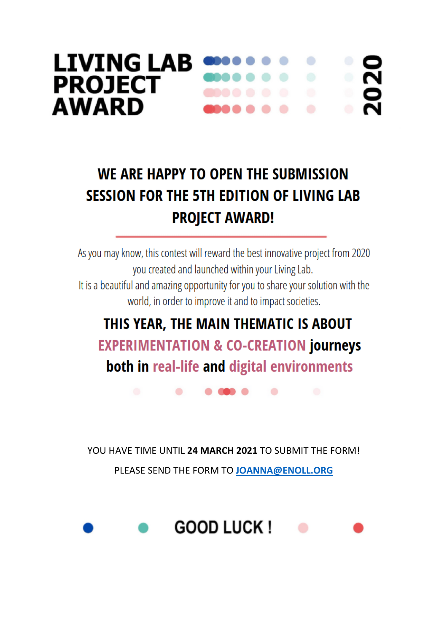## **LIVING LAB**  $\bullet$ **PROJECT AWARD**

# WE ARE HAPPY TO OPEN THE SUBMISSION **SESSION FOR THE 5TH EDITION OF LIVING LAB PROJECT AWARD!**

As you may know, this contest will reward the best innovative project from 2020 you created and launched within your Living Lab. It is a beautiful and amazing opportunity for you to share your solution with the world, in order to improve it and to impact societies.

## THIS YEAR, THE MAIN THEMATIC IS ABOUT **EXPERIMENTATION & CO-CREATION journeys** both in real-life and digital environments

YOU HAVE TIME UNTIL 24 MARCH 2021 TO SUBMIT THE FORM! PLEASE SEND THE FORM TO JOANNA@ENOLL.ORG

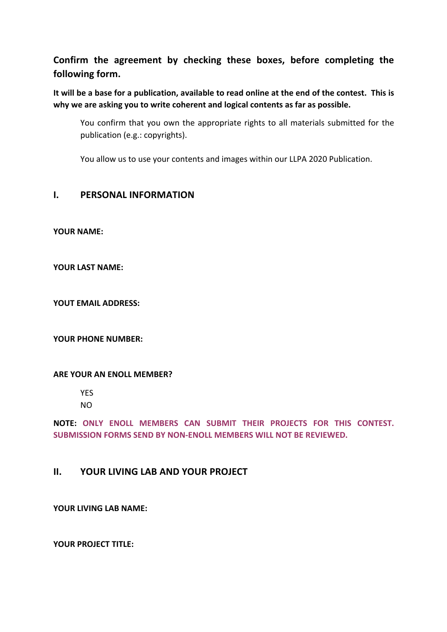## **Confirm the agreement by checking these boxes, before completing the following form.**

**It will be a base for a publication, available to read online at the end of the contest. This is why we are asking you to write coherent and logical contents as far as possible.**

 You confirm that you own the appropriate rights to all materials submitted for the publication (e.g.: copyrights).

You allow us to use your contents and images within our LLPA 2020 Publication.

### **I. PERSONAL INFORMATION**

**YOUR NAME:** 

**YOUR LAST NAME:** 

**YOUT EMAIL ADDRESS:**

#### **YOUR PHONE NUMBER:**

#### **ARE YOUR AN ENOLL MEMBER?**

YES

NO

**NOTE: ONLY ENOLL MEMBERS CAN SUBMIT THEIR PROJECTS FOR THIS CONTEST. SUBMISSION FORMS SEND BY NON-ENOLL MEMBERS WILL NOT BE REVIEWED.**

### **II. YOUR LIVING LAB AND YOUR PROJECT**

**YOUR LIVING LAB NAME:**

**YOUR PROJECT TITLE:**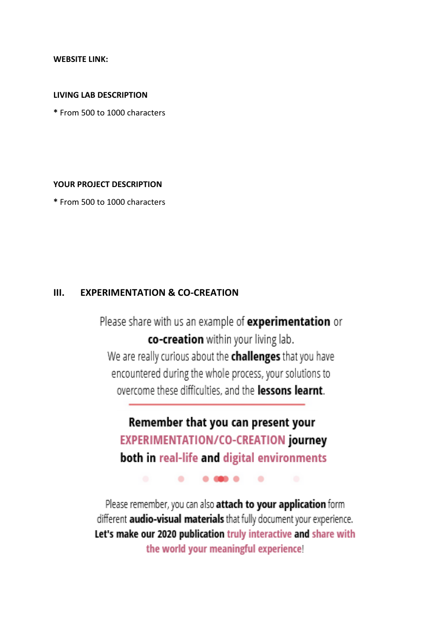**WEBSITE LINK:**

#### **LIVING LAB DESCRIPTION**

**\*** From 500 to 1000 characters

#### **YOUR PROJECT DESCRIPTION**

**\*** From 500 to 1000 characters

## **III. EXPERIMENTATION & CO-CREATION**

Please share with us an example of experimentation or co-creation within your living lab. We are really curious about the challenges that you have encountered during the whole process, your solutions to overcome these difficulties, and the **lessons learnt**.

Remember that you can present your **EXPERIMENTATION/CO-CREATION journey** both in real-life and digital environments

 $0.0000$ 

 $\bullet$ 

۰

Please remember, you can also attach to your application form different **audio-visual materials** that fully document your experience. Let's make our 2020 publication truly interactive and share with the world your meaningful experience!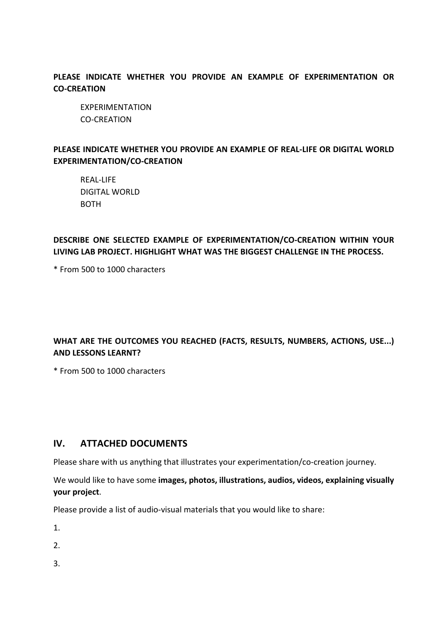**PLEASE INDICATE WHETHER YOU PROVIDE AN EXAMPLE OF EXPERIMENTATION OR CO-CREATION**

 EXPERIMENTATION CO-CREATION

### **PLEASE INDICATE WHETHER YOU PROVIDE AN EXAMPLE OF REAL-LIFE OR DIGITAL WORLD EXPERIMENTATION/CO-CREATION**

 REAL-LIFE DIGITAL WORLD BOTH

## **DESCRIBE ONE SELECTED EXAMPLE OF EXPERIMENTATION/CO-CREATION WITHIN YOUR LIVING LAB PROJECT. HIGHLIGHT WHAT WAS THE BIGGEST CHALLENGE IN THE PROCESS.**

\* From 500 to 1000 characters

## **WHAT ARE THE OUTCOMES YOU REACHED (FACTS, RESULTS, NUMBERS, ACTIONS, USE...) AND LESSONS LEARNT?**

\* From 500 to 1000 characters

## **IV. ATTACHED DOCUMENTS**

Please share with us anything that illustrates your experimentation/co-creation journey.

We would like to have some **images, photos, illustrations, audios, videos, explaining visually your project**.

Please provide a list of audio-visual materials that you would like to share:

- 1.
- 2.
- 3.